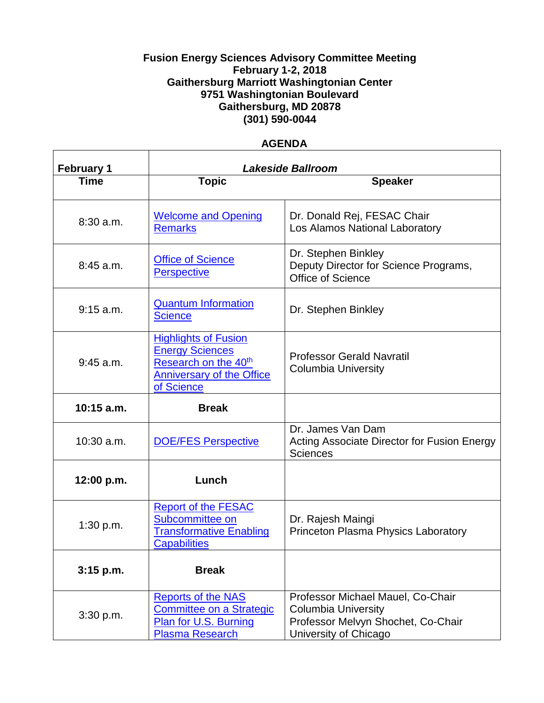#### **Fusion Energy Sciences Advisory Committee Meeting February 1-2, 2018 Gaithersburg Marriott Washingtonian Center 9751 Washingtonian Boulevard Gaithersburg, MD 20878 (301) 590-0044**

### **AGENDA**

| <b>February 1</b> | <b>Lakeside Ballroom</b>                                                                                                                    |                                                                                                                                |
|-------------------|---------------------------------------------------------------------------------------------------------------------------------------------|--------------------------------------------------------------------------------------------------------------------------------|
| <b>Time</b>       | <b>Topic</b>                                                                                                                                | <b>Speaker</b>                                                                                                                 |
| $8:30$ a.m.       | <b>Welcome and Opening</b><br><b>Remarks</b>                                                                                                | Dr. Donald Rej, FESAC Chair<br>Los Alamos National Laboratory                                                                  |
| 8:45 a.m.         | <b>Office of Science</b><br><b>Perspective</b>                                                                                              | Dr. Stephen Binkley<br>Deputy Director for Science Programs,<br>Office of Science                                              |
| $9:15$ a.m.       | <b>Quantum Information</b><br><b>Science</b>                                                                                                | Dr. Stephen Binkley                                                                                                            |
| $9:45$ a.m.       | <b>Highlights of Fusion</b><br><b>Energy Sciences</b><br>Research on the 40 <sup>th</sup><br><b>Anniversary of the Office</b><br>of Science | <b>Professor Gerald Navratil</b><br><b>Columbia University</b>                                                                 |
| $10:15$ a.m.      | <b>Break</b>                                                                                                                                |                                                                                                                                |
| $10:30$ a.m.      | <b>DOE/FES Perspective</b>                                                                                                                  | Dr. James Van Dam<br><b>Acting Associate Director for Fusion Energy</b><br><b>Sciences</b>                                     |
| 12:00 p.m.        | Lunch                                                                                                                                       |                                                                                                                                |
| 1:30 p.m.         | <b>Report of the FESAC</b><br>Subcommittee on<br><b>Transformative Enabling</b><br><b>Capabilities</b>                                      | Dr. Rajesh Maingi<br>Princeton Plasma Physics Laboratory                                                                       |
| $3:15$ p.m.       | <b>Break</b>                                                                                                                                |                                                                                                                                |
| 3:30 p.m.         | <b>Reports of the NAS</b><br>Committee on a Strategic<br>Plan for U.S. Burning<br><b>Plasma Research</b>                                    | Professor Michael Mauel, Co-Chair<br><b>Columbia University</b><br>Professor Melvyn Shochet, Co-Chair<br>University of Chicago |